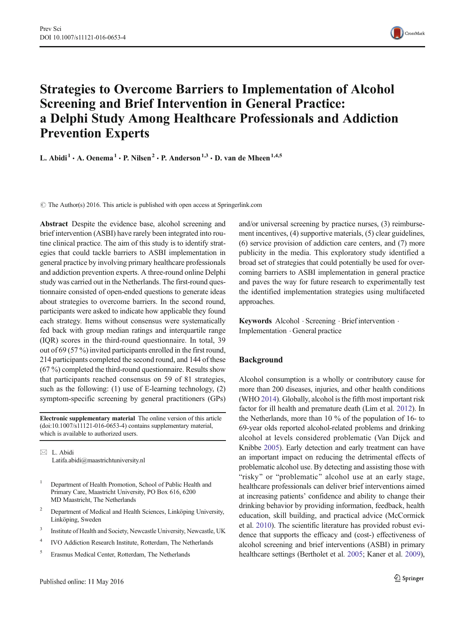

# Strategies to Overcome Barriers to Implementation of Alcohol Screening and Brief Intervention in General Practice: a Delphi Study Among Healthcare Professionals and Addiction Prevention Experts

L. Abidi<sup>1</sup> · A. Oenema<sup>1</sup> · P. Nilsen<sup>2</sup> · P. Anderson<sup>1,3</sup> · D. van de Mheen<sup>1,4,5</sup>

 $\odot$  The Author(s) 2016. This article is published with open access at Springerlink.com

Abstract Despite the evidence base, alcohol screening and brief intervention (ASBI) have rarely been integrated into routine clinical practice. The aim of this study is to identify strategies that could tackle barriers to ASBI implementation in general practice by involving primary healthcare professionals and addiction prevention experts. A three-round online Delphi study was carried out in the Netherlands. The first-round questionnaire consisted of open-ended questions to generate ideas about strategies to overcome barriers. In the second round, participants were asked to indicate how applicable they found each strategy. Items without consensus were systematically fed back with group median ratings and interquartile range (IQR) scores in the third-round questionnaire. In total, 39 out of 69 (57 %) invited participants enrolled in the first round, 214 participants completed the second round, and 144 of these (67 %) completed the third-round questionnaire. Results show that participants reached consensus on 59 of 81 strategies, such as the following: (1) use of E-learning technology, (2) symptom-specific screening by general practitioners (GPs)

Electronic supplementary material The online version of this article (doi[:10.1007/s11121-016-0653-4\)](http://dx.doi.org/10.1007/s11121-016-0653-4) contains supplementary material, which is available to authorized users.

 $\boxtimes$  L. Abidi Latifa.abidi@maastrichtuniversity.nl

- <sup>1</sup> Department of Health Promotion, School of Public Health and Primary Care, Maastricht University, PO Box 616, 6200 MD Maastricht, The Netherlands
- <sup>2</sup> Department of Medical and Health Sciences, Linköping University, Linköping, Sweden
- <sup>3</sup> Institute of Health and Society, Newcastle University, Newcastle, UK
- <sup>4</sup> IVO Addiction Research Institute, Rotterdam, The Netherlands
- <sup>5</sup> Erasmus Medical Center, Rotterdam, The Netherlands

and/or universal screening by practice nurses, (3) reimbursement incentives, (4) supportive materials, (5) clear guidelines, (6) service provision of addiction care centers, and (7) more publicity in the media. This exploratory study identified a broad set of strategies that could potentially be used for overcoming barriers to ASBI implementation in general practice and paves the way for future research to experimentally test the identified implementation strategies using multifaceted approaches.

Keywords Alcohol . Screening . Brief intervention . Implementation . General practice

# Background

Alcohol consumption is a wholly or contributory cause for more than 200 diseases, injuries, and other health conditions (WHO [2014](#page-10-0)). Globally, alcohol is the fifth most important risk factor for ill health and premature death (Lim et al. [2012\)](#page-10-0). In the Netherlands, more than 10 % of the population of 16- to 69-year olds reported alcohol-related problems and drinking alcohol at levels considered problematic (Van Dijck and Knibbe [2005\)](#page-10-0). Early detection and early treatment can have an important impact on reducing the detrimental effects of problematic alcohol use. By detecting and assisting those with "risky" or "problematic" alcohol use at an early stage, healthcare professionals can deliver brief interventions aimed at increasing patients' confidence and ability to change their drinking behavior by providing information, feedback, health education, skill building, and practical advice (McCormick et al. [2010\)](#page-10-0). The scientific literature has provided robust evidence that supports the efficacy and (cost-) effectiveness of alcohol screening and brief interventions (ASBI) in primary healthcare settings (Bertholet et al. [2005;](#page-9-0) Kaner et al. [2009\)](#page-9-0),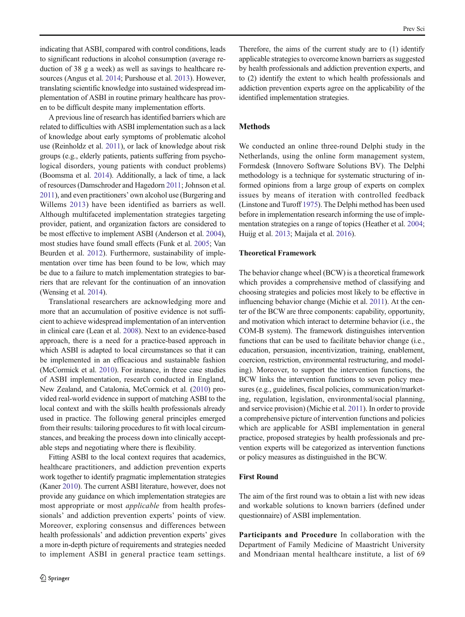<span id="page-1-0"></span>indicating that ASBI, compared with control conditions, leads to significant reductions in alcohol consumption (average reduction of 38 g a week) as well as savings to healthcare resources (Angus et al. [2014;](#page-9-0) Purshouse et al. [2013](#page-10-0)). However, translating scientific knowledge into sustained widespread implementation of ASBI in routine primary healthcare has proven to be difficult despite many implementation efforts.

A previous line of research has identified barriers which are related to difficulties with ASBI implementation such as a lack of knowledge about early symptoms of problematic alcohol use (Reinholdz et al. [2011\)](#page-10-0), or lack of knowledge about risk groups (e.g., elderly patients, patients suffering from psychological disorders, young patients with conduct problems) (Boomsma et al. [2014](#page-9-0)). Additionally, a lack of time, a lack of resources (Damschroder and Hagedorn [2011](#page-9-0); Johnson et al. [2011](#page-9-0)), and even practitioners' own alcohol use (Burgering and Willems [2013](#page-9-0)) have been identified as barriers as well. Although multifaceted implementation strategies targeting provider, patient, and organization factors are considered to be most effective to implement ASBI (Anderson et al. [2004\)](#page-9-0), most studies have found small effects (Funk et al. [2005](#page-9-0); Van Beurden et al. [2012\)](#page-10-0). Furthermore, sustainability of implementation over time has been found to be low, which may be due to a failure to match implementation strategies to barriers that are relevant for the continuation of an innovation (Wensing et al. [2014\)](#page-10-0).

Translational researchers are acknowledging more and more that an accumulation of positive evidence is not sufficient to achieve widespread implementation of an intervention in clinical care (Lean et al. [2008](#page-10-0)). Next to an evidence-based approach, there is a need for a practice-based approach in which ASBI is adapted to local circumstances so that it can be implemented in an efficacious and sustainable fashion (McCormick et al. [2010\)](#page-10-0). For instance, in three case studies of ASBI implementation, research conducted in England, New Zealand, and Catalonia, McCormick et al. ([2010](#page-10-0)) provided real-world evidence in support of matching ASBI to the local context and with the skills health professionals already used in practice. The following general principles emerged from their results: tailoring procedures to fit with local circumstances, and breaking the process down into clinically acceptable steps and negotiating where there is flexibility.

Fitting ASBI to the local context requires that academics, healthcare practitioners, and addiction prevention experts work together to identify pragmatic implementation strategies (Kaner [2010\)](#page-9-0). The current ASBI literature, however, does not provide any guidance on which implementation strategies are most appropriate or most applicable from health professionals' and addiction prevention experts' points of view. Moreover, exploring consensus and differences between health professionals' and addiction prevention experts' gives a more in-depth picture of requirements and strategies needed to implement ASBI in general practice team settings.

Therefore, the aims of the current study are to (1) identify applicable strategies to overcome known barriers as suggested by health professionals and addiction prevention experts, and to (2) identify the extent to which health professionals and addiction prevention experts agree on the applicability of the identified implementation strategies.

## **Methods**

We conducted an online three-round Delphi study in the Netherlands, using the online form management system, Formdesk (Innovero Software Solutions BV). The Delphi methodology is a technique for systematic structuring of informed opinions from a large group of experts on complex issues by means of iteration with controlled feedback (Linstone and Turoff [1975](#page-10-0)). The Delphi method has been used before in implementation research informing the use of implementation strategies on a range of topics (Heather et al. [2004;](#page-9-0) Huijg et al. [2013;](#page-9-0) Maijala et al. [2016](#page-10-0)).

#### Theoretical Framework

The behavior change wheel (BCW) is a theoretical framework which provides a comprehensive method of classifying and choosing strategies and policies most likely to be effective in influencing behavior change (Michie et al. [2011\)](#page-10-0). At the center of the BCW are three components: capability, opportunity, and motivation which interact to determine behavior (i.e., the COM-B system). The framework distinguishes intervention functions that can be used to facilitate behavior change (i.e., education, persuasion, incentivization, training, enablement, coercion, restriction, environmental restructuring, and modeling). Moreover, to support the intervention functions, the BCW links the intervention functions to seven policy measures (e.g., guidelines, fiscal policies, communication/marketing, regulation, legislation, environmental/social planning, and service provision) (Michie et al. [2011](#page-10-0)). In order to provide a comprehensive picture of intervention functions and policies which are applicable for ASBI implementation in general practice, proposed strategies by health professionals and prevention experts will be categorized as intervention functions or policy measures as distinguished in the BCW.

#### First Round

The aim of the first round was to obtain a list with new ideas and workable solutions to known barriers (defined under questionnaire) of ASBI implementation.

Participants and Procedure In collaboration with the Department of Family Medicine of Maastricht University and Mondriaan mental healthcare institute, a list of 69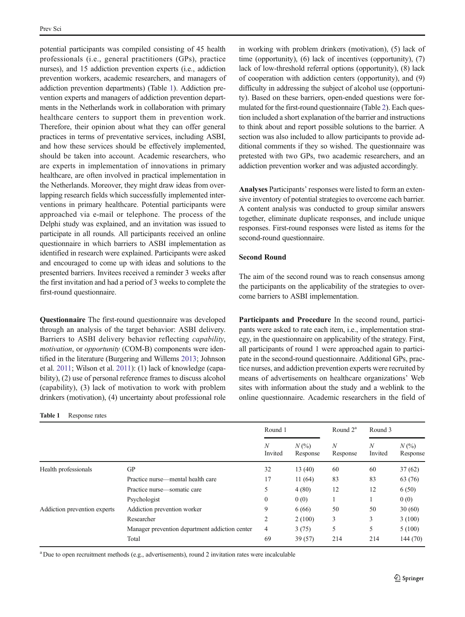<span id="page-2-0"></span>potential participants was compiled consisting of 45 health professionals (i.e., general practitioners (GPs), practice nurses), and 15 addiction prevention experts (i.e., addiction prevention workers, academic researchers, and managers of addiction prevention departments) (Table 1). Addiction prevention experts and managers of addiction prevention departments in the Netherlands work in collaboration with primary healthcare centers to support them in prevention work. Therefore, their opinion about what they can offer general practices in terms of preventative services, including ASBI, and how these services should be effectively implemented, should be taken into account. Academic researchers, who are experts in implementation of innovations in primary healthcare, are often involved in practical implementation in the Netherlands. Moreover, they might draw ideas from overlapping research fields which successfully implemented interventions in primary healthcare. Potential participants were approached via e-mail or telephone. The process of the Delphi study was explained, and an invitation was issued to participate in all rounds. All participants received an online questionnaire in which barriers to ASBI implementation as identified in research were explained. Participants were asked and encouraged to come up with ideas and solutions to the presented barriers. Invitees received a reminder 3 weeks after the first invitation and had a period of 3 weeks to complete the first-round questionnaire.

Questionnaire The first-round questionnaire was developed through an analysis of the target behavior: ASBI delivery. Barriers to ASBI delivery behavior reflecting capability, motivation, or opportunity (COM-B) components were identified in the literature (Burgering and Willems [2013;](#page-9-0) Johnson et al. [2011;](#page-9-0) Wilson et al. [2011](#page-10-0)): (1) lack of knowledge (capability), (2) use of personal reference frames to discuss alcohol (capability), (3) lack of motivation to work with problem drinkers (motivation), (4) uncertainty about professional role

Table 1 Response rates

in working with problem drinkers (motivation), (5) lack of time (opportunity), (6) lack of incentives (opportunity), (7) lack of low-threshold referral options (opportunity), (8) lack of cooperation with addiction centers (opportunity), and (9) difficulty in addressing the subject of alcohol use (opportunity). Based on these barriers, open-ended questions were formulated for the first-round questionnaire (Table [2](#page-3-0)). Each question included a short explanation of the barrier and instructions to think about and report possible solutions to the barrier. A section was also included to allow participants to provide additional comments if they so wished. The questionnaire was pretested with two GPs, two academic researchers, and an addiction prevention worker and was adjusted accordingly.

Analyses Participants' responses were listed to form an extensive inventory of potential strategies to overcome each barrier. A content analysis was conducted to group similar answers together, eliminate duplicate responses, and include unique responses. First-round responses were listed as items for the second-round questionnaire.

## Second Round

The aim of the second round was to reach consensus among the participants on the applicability of the strategies to overcome barriers to ASBI implementation.

Participants and Procedure In the second round, participants were asked to rate each item, i.e., implementation strategy, in the questionnaire on applicability of the strategy. First, all participants of round 1 were approached again to participate in the second-round questionnaire. Additional GPs, practice nurses, and addiction prevention experts were recruited by means of advertisements on healthcare organizations' Web sites with information about the study and a weblink to the online questionnaire. Academic researchers in the field of

|                              |                                                | Round 1                     |                     | Round $2^a$                  | Round 3      |                     |
|------------------------------|------------------------------------------------|-----------------------------|---------------------|------------------------------|--------------|---------------------|
|                              |                                                | $\boldsymbol{N}$<br>Invited | $N(\%)$<br>Response | $\boldsymbol{N}$<br>Response | N<br>Invited | $N(\%)$<br>Response |
| Health professionals         | <b>GP</b>                                      | 32                          | 13(40)              | 60                           | 60           | 37(62)              |
|                              | Practice nurse—mental health care              | 17                          | 11(64)              | 83                           | 83           | 63 (76)             |
|                              | Practice nurse—somatic care                    | 5                           | 4(80)               | 12                           | 12           | 6(50)               |
|                              | Psychologist                                   | $\mathbf{0}$                | 0(0)                |                              |              | 0(0)                |
| Addiction prevention experts | Addiction prevention worker                    | 9                           | 6(66)               | 50                           | 50           | 30(60)              |
|                              | Researcher                                     | 2                           | 2(100)              | 3                            | 3            | 3(100)              |
|                              | Manager prevention department addiction center | 4                           | 3(75)               | 5                            | 5            | 5(100)              |
|                              | Total                                          | 69                          | 39(57)              | 214                          | 214          | 144(70)             |

<sup>a</sup> Due to open recruitment methods (e.g., advertisements), round 2 invitation rates were incalculable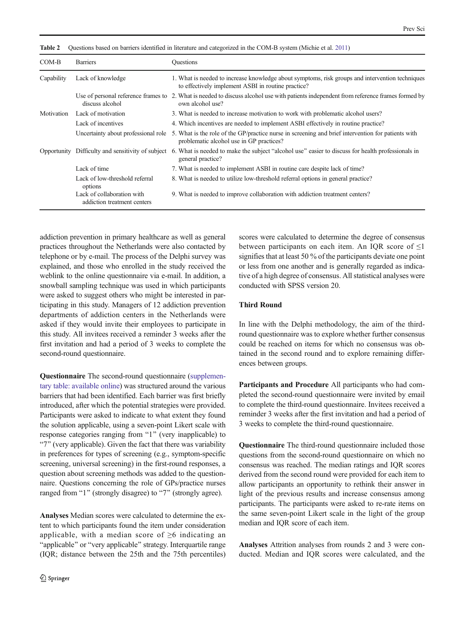<span id="page-3-0"></span>Table 2 Questions based on barriers identified in literature and categorized in the COM-B system (Michie et al. [2011\)](#page-10-0)

| COM-B<br><b>Barriers</b> |                                                           | <b>Ouestions</b>                                                                                                                                           |  |  |  |  |  |  |  |
|--------------------------|-----------------------------------------------------------|------------------------------------------------------------------------------------------------------------------------------------------------------------|--|--|--|--|--|--|--|
| Capability               | Lack of knowledge                                         | 1. What is needed to increase knowledge about symptoms, risk groups and intervention techniques<br>to effectively implement ASBI in routine practice?      |  |  |  |  |  |  |  |
|                          | discuss alcohol                                           | Use of personal reference frames to 2. What is needed to discuss alcohol use with patients independent from reference frames formed by<br>own alcohol use? |  |  |  |  |  |  |  |
| Motivation               | Lack of motivation                                        | 3. What is needed to increase motivation to work with problematic alcohol users?                                                                           |  |  |  |  |  |  |  |
|                          | Lack of incentives                                        | 4. Which incentives are needed to implement ASBI effectively in routine practice?                                                                          |  |  |  |  |  |  |  |
|                          | Uncertainty about professional role                       | 5. What is the role of the GP/practice nurse in screening and brief intervention for patients with<br>problematic alcohol use in GP practices?             |  |  |  |  |  |  |  |
|                          | Opportunity Difficulty and sensitivity of subject         | 6. What is needed to make the subject "alcohol use" easier to discuss for health professionals in<br>general practice?                                     |  |  |  |  |  |  |  |
|                          | Lack of time                                              | 7. What is needed to implement ASBI in routine care despite lack of time?                                                                                  |  |  |  |  |  |  |  |
|                          | Lack of low-threshold referral<br>options                 | 8. What is needed to utilize low-threshold referral options in general practice?                                                                           |  |  |  |  |  |  |  |
|                          | Lack of collaboration with<br>addiction treatment centers | 9. What is needed to improve collaboration with addiction treatment centers?                                                                               |  |  |  |  |  |  |  |

addiction prevention in primary healthcare as well as general practices throughout the Netherlands were also contacted by telephone or by e-mail. The process of the Delphi survey was explained, and those who enrolled in the study received the weblink to the online questionnaire via e-mail. In addition, a snowball sampling technique was used in which participants were asked to suggest others who might be interested in participating in this study. Managers of 12 addiction prevention departments of addiction centers in the Netherlands were asked if they would invite their employees to participate in this study. All invitees received a reminder 3 weeks after the first invitation and had a period of 3 weeks to complete the second-round questionnaire.

Questionnaire The second-round questionnaire (supplementary table: available online) was structured around the various barriers that had been identified. Each barrier was first briefly introduced, after which the potential strategies were provided. Participants were asked to indicate to what extent they found the solution applicable, using a seven-point Likert scale with response categories ranging from "1" (very inapplicable) to "7" (very applicable). Given the fact that there was variability in preferences for types of screening (e.g., symptom-specific screening, universal screening) in the first-round responses, a question about screening methods was added to the questionnaire. Questions concerning the role of GPs/practice nurses ranged from "1" (strongly disagree) to "7" (strongly agree).

Analyses Median scores were calculated to determine the extent to which participants found the item under consideration applicable, with a median score of  $\geq 6$  indicating an "applicable" or "very applicable" strategy. Interquartile range (IQR; distance between the 25th and the 75th percentiles) scores were calculated to determine the degree of consensus between participants on each item. An IQR score of  $\leq 1$ signifies that at least 50 % of the participants deviate one point or less from one another and is generally regarded as indicative of a high degree of consensus. All statistical analyses were conducted with SPSS version 20.

## Third Round

In line with the Delphi methodology, the aim of the thirdround questionnaire was to explore whether further consensus could be reached on items for which no consensus was obtained in the second round and to explore remaining differences between groups.

Participants and Procedure All participants who had completed the second-round questionnaire were invited by email to complete the third-round questionnaire. Invitees received a reminder 3 weeks after the first invitation and had a period of 3 weeks to complete the third-round questionnaire.

Questionnaire The third-round questionnaire included those questions from the second-round questionnaire on which no consensus was reached. The median ratings and IQR scores derived from the second round were provided for each item to allow participants an opportunity to rethink their answer in light of the previous results and increase consensus among participants. The participants were asked to re-rate items on the same seven-point Likert scale in the light of the group median and IQR score of each item.

Analyses Attrition analyses from rounds 2 and 3 were conducted. Median and IQR scores were calculated, and the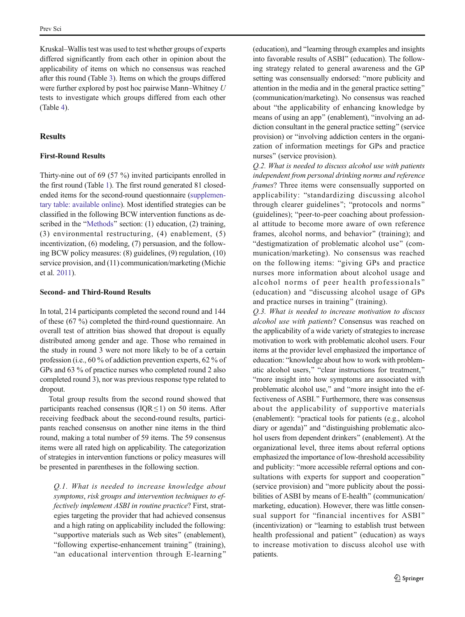Kruskal–Wallis test was used to test whether groups of experts differed significantly from each other in opinion about the applicability of items on which no consensus was reached after this round (Table [3\)](#page-6-0). Items on which the groups differed were further explored by post hoc pairwise Mann–Whitney U tests to investigate which groups differed from each other (Table [4](#page-7-0)).

# Results

#### First-Round Results

Thirty-nine out of 69 (57 %) invited participants enrolled in the first round (Table [1](#page-2-0)). The first round generated 81 closedended items for the second-round questionnaire (supplementary table: available online). Most identified strategies can be classified in the following BCW intervention functions as de-scribed in the "[Methods](#page-1-0)" section: (1) education, (2) training, (3) environmental restructuring, (4) enablement, (5) incentivization, (6) modeling, (7) persuasion, and the following BCW policy measures: (8) guidelines, (9) regulation, (10) service provision, and (11) communication/marketing (Michie et al. [2011\)](#page-10-0).

#### Second- and Third-Round Results

In total, 214 participants completed the second round and 144 of these (67 %) completed the third-round questionnaire. An overall test of attrition bias showed that dropout is equally distributed among gender and age. Those who remained in the study in round 3 were not more likely to be of a certain profession (i.e., 60 % of addiction prevention experts, 62 % of GPs and 63 % of practice nurses who completed round 2 also completed round 3), nor was previous response type related to dropout.

Total group results from the second round showed that participants reached consensus ( $IQR \le 1$ ) on 50 items. After receiving feedback about the second-round results, participants reached consensus on another nine items in the third round, making a total number of 59 items. The 59 consensus items were all rated high on applicability. The categorization of strategies in intervention functions or policy measures will be presented in parentheses in the following section.

Q.1. What is needed to increase knowledge about symptoms, risk groups and intervention techniques to effectively implement ASBI in routine practice? First, strategies targeting the provider that had achieved consensus and a high rating on applicability included the following: "supportive materials such as Web sites" (enablement), "following expertise-enhancement training" (training), "an educational intervention through E-learning"

(education), and "learning through examples and insights into favorable results of ASBI" (education). The following strategy related to general awareness and the GP setting was consensually endorsed: "more publicity and attention in the media and in the general practice setting^ (communication/marketing). No consensus was reached about "the applicability of enhancing knowledge by means of using an app" (enablement), "involving an addiction consultant in the general practice setting" (service provision) or "involving addiction centers in the organization of information meetings for GPs and practice nurses" (service provision).

Q.2. What is needed to discuss alcohol use with patients independent from personal drinking norms and reference frames? Three items were consensually supported on applicability: "standardizing discussing alcohol through clearer guidelines"; "protocols and norms" (guidelines); "peer-to-peer coaching about professional attitude to become more aware of own reference frames, alcohol norms, and behavior" (training); and "destigmatization of problematic alcohol use" (communication/marketing). No consensus was reached on the following items: "giving GPs and practice nurses more information about alcohol usage and alcohol norms of peer health professionals^ (education) and "discussing alcohol usage of GPs and practice nurses in training" (training).

Q.3. What is needed to increase motivation to discuss alcohol use with patients? Consensus was reached on the applicability of a wide variety of strategies to increase motivation to work with problematic alcohol users. Four items at the provider level emphasized the importance of education: "knowledge about how to work with problematic alcohol users," "clear instructions for treatment," "more insight into how symptoms are associated with problematic alcohol use," and "more insight into the effectiveness of ASBI." Furthermore, there was consensus about the applicability of supportive materials (enablement): "practical tools for patients (e.g., alcohol diary or agenda)" and "distinguishing problematic alcohol users from dependent drinkers" (enablement). At the organizational level, three items about referral options emphasized the importance of low-threshold accessibility and publicity: "more accessible referral options and consultations with experts for support and cooperation" (service provision) and "more publicity about the possibilities of ASBI by means of E-health" (communication/ marketing, education). However, there was little consensual support for "financial incentives for ASBI" (incentivization) or "learning to establish trust between health professional and patient^ (education) as ways to increase motivation to discuss alcohol use with patients.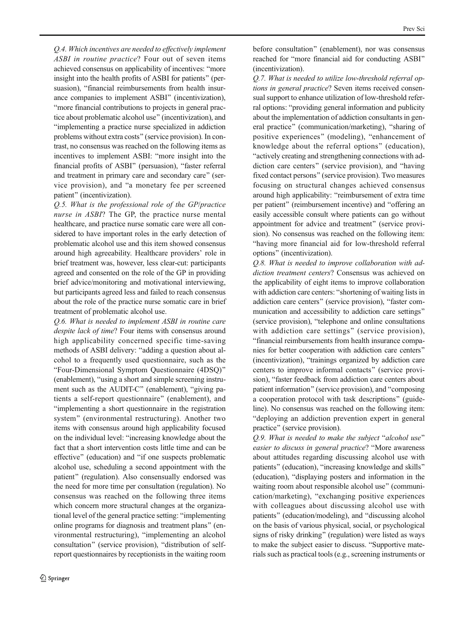Q.4. Which incentives are needed to effectively implement ASBI in routine practice? Four out of seven items achieved consensus on applicability of incentives: "more insight into the health profits of ASBI for patients" (persuasion), "financial reimbursements from health insurance companies to implement ASBI" (incentivization), "more financial contributions to projects in general practice about problematic alcohol use^ (incentivization), and Bimplementing a practice nurse specialized in addiction problems without extra costs" (service provision). In contrast, no consensus was reached on the following items as incentives to implement ASBI: "more insight into the financial profits of ASBI" (persuasion), "faster referral and treatment in primary care and secondary care" (service provision), and "a monetary fee per screened patient" (incentivization).

Q.5. What is the professional role of the GP/practice nurse in ASBI? The GP, the practice nurse mental healthcare, and practice nurse somatic care were all considered to have important roles in the early detection of problematic alcohol use and this item showed consensus around high agreeability. Healthcare providers' role in brief treatment was, however, less clear-cut: participants agreed and consented on the role of the GP in providing brief advice/monitoring and motivational interviewing, but participants agreed less and failed to reach consensus about the role of the practice nurse somatic care in brief treatment of problematic alcohol use.

Q.6. What is needed to implement ASBI in routine care despite lack of time? Four items with consensus around high applicability concerned specific time-saving methods of ASBI delivery: "adding a question about alcohol to a frequently used questionnaire, such as the "Four-Dimensional Symptom Questionnaire (4DSQ)" (enablement), "using a short and simple screening instrument such as the AUDIT-C" (enablement), "giving patients a self-report questionnaire^ (enablement), and Bimplementing a short questionnaire in the registration system" (environmental restructuring). Another two items with consensus around high applicability focused on the individual level: "increasing knowledge about the fact that a short intervention costs little time and can be effective" (education) and "if one suspects problematic alcohol use, scheduling a second appointment with the patient" (regulation). Also consensually endorsed was the need for more time per consultation (regulation). No consensus was reached on the following three items which concern more structural changes at the organizational level of the general practice setting: "implementing" online programs for diagnosis and treatment plans^ (environmental restructuring), "implementing an alcohol consultation" (service provision), "distribution of selfreport questionnaires by receptionists in the waiting room before consultation" (enablement), nor was consensus reached for "more financial aid for conducting ASBI" (incentivization).

Q.7. What is needed to utilize low-threshold referral options in general practice? Seven items received consensual support to enhance utilization of low-threshold referral options: "providing general information and publicity about the implementation of addiction consultants in general practice" (communication/marketing), "sharing of positive experiences" (modeling), "enhancement of knowledge about the referral options" (education), "actively creating and strengthening connections with addiction care centers" (service provision), and "having fixed contact persons" (service provision). Two measures focusing on structural changes achieved consensus around high applicability: "reimbursement of extra time per patient" (reimbursement incentive) and "offering an easily accessible consult where patients can go without appointment for advice and treatment" (service provision). No consensus was reached on the following item: Bhaving more financial aid for low-threshold referral options^ (incentivization).

Q.8. What is needed to improve collaboration with addiction treatment centers? Consensus was achieved on the applicability of eight items to improve collaboration with addiction care centers: "shortening of waiting lists in addiction care centers" (service provision), "faster communication and accessibility to addiction care settings" (service provision), "telephone and online consultations with addiction care settings" (service provision), "financial reimbursements from health insurance companies for better cooperation with addiction care centers^ (incentivization), "trainings organized by addiction care centers to improve informal contacts^ (service provision), "faster feedback from addiction care centers about patient information" (service provision), and "composing a cooperation protocol with task descriptions^ (guideline). No consensus was reached on the following item: "deploying an addiction prevention expert in general practice" (service provision).

 $Q.9.$  What is needed to make the subject "alcohol use" easier to discuss in general practice? "More awareness about attitudes regarding discussing alcohol use with patients" (education), "increasing knowledge and skills" (education), "displaying posters and information in the waiting room about responsible alcohol use" (communication/marketing), "exchanging positive experiences with colleagues about discussing alcohol use with patients" (education/modeling), and "discussing alcohol on the basis of various physical, social, or psychological signs of risky drinking" (regulation) were listed as ways to make the subject easier to discuss. "Supportive materials such as practical tools (e.g., screening instruments or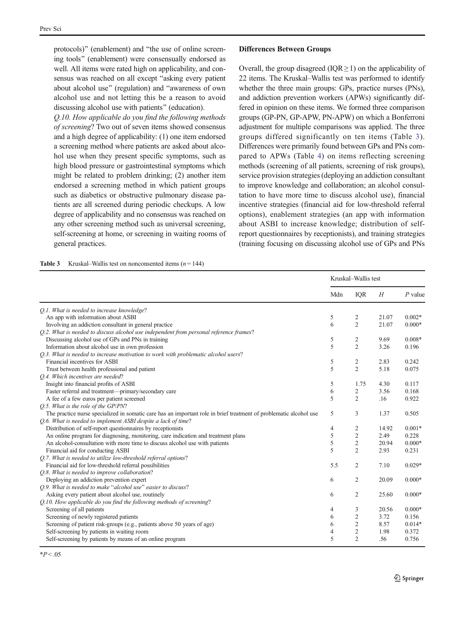<span id="page-6-0"></span>protocols)" (enablement) and "the use of online screening tools" (enablement) were consensually endorsed as well. All items were rated high on applicability, and consensus was reached on all except "asking every patient" about alcohol use" (regulation) and "awareness of own alcohol use and not letting this be a reason to avoid discussing alcohol use with patients" (education).

Q.10. How applicable do you find the following methods of screening? Two out of seven items showed consensus and a high degree of applicability: (1) one item endorsed a screening method where patients are asked about alcohol use when they present specific symptoms, such as high blood pressure or gastrointestinal symptoms which might be related to problem drinking; (2) another item endorsed a screening method in which patient groups such as diabetics or obstructive pulmonary disease patients are all screened during periodic checkups. A low degree of applicability and no consensus was reached on any other screening method such as universal screening, self-screening at home, or screening in waiting rooms of general practices.

#### Differences Between Groups

Overall, the group disagreed ( $IQR \geq 1$ ) on the applicability of 22 items. The Kruskal–Wallis test was performed to identify whether the three main groups: GPs, practice nurses (PNs), and addiction prevention workers (APWs) significantly differed in opinion on these items. We formed three comparison groups (GP-PN, GP-APW, PN-APW) on which a Bonferroni adjustment for multiple comparisons was applied. The three groups differed significantly on ten items (Table 3). Differences were primarily found between GPs and PNs compared to APWs (Table [4](#page-7-0)) on items reflecting screening methods (screening of all patients, screening of risk groups), service provision strategies (deploying an addiction consultant to improve knowledge and collaboration; an alcohol consultation to have more time to discuss alcohol use), financial incentive strategies (financial aid for low-threshold referral options), enablement strategies (an app with information about ASBI to increase knowledge; distribution of selfreport questionnaires by receptionists), and training strategies (training focusing on discussing alcohol use of GPs and PNs

| <b>Table 3</b> | Kruskal–Wallis test on nonconsented items $(n = 144)$ |  |  |  |
|----------------|-------------------------------------------------------|--|--|--|
|----------------|-------------------------------------------------------|--|--|--|

|                                                                                                                    | Kruskal-Wallis test |                         |       |           |  |
|--------------------------------------------------------------------------------------------------------------------|---------------------|-------------------------|-------|-----------|--|
|                                                                                                                    | Mdn                 | IQR                     | H     | $P$ value |  |
| O.1. What is needed to increase knowledge?                                                                         |                     |                         |       |           |  |
| An app with information about ASBI                                                                                 | 5                   | 2                       | 21.07 | $0.002*$  |  |
| Involving an addiction consultant in general practice                                                              | 6                   | $\overline{2}$          | 21.07 | $0.000*$  |  |
| O.2. What is needed to discuss alcohol use independent from personal reference frames?                             |                     |                         |       |           |  |
| Discussing alcohol use of GPs and PNs in training                                                                  | 5                   | $\overline{\mathbf{c}}$ | 9.69  | $0.008*$  |  |
| Information about alcohol use in own profession                                                                    | 5                   | $\overline{2}$          | 3.26  | 0.196     |  |
| O.3. What is needed to increase motivation to work with problematic alcohol users?                                 |                     |                         |       |           |  |
| Financial incentives for ASBI                                                                                      | 5                   | $\overline{c}$          | 2.83  | 0.242     |  |
| Trust between health professional and patient                                                                      | 5                   | $\overline{2}$          | 5.18  | 0.075     |  |
| O.4. Which incentives are needed?                                                                                  |                     |                         |       |           |  |
| Insight into financial profits of ASBI                                                                             | 5                   | 1.75                    | 4.30  | 0.117     |  |
| Faster referral and treatment-primary/secondary care                                                               | 6                   | $\overline{c}$          | 3.56  | 0.168     |  |
| A fee of a few euros per patient screened                                                                          | 5                   | $\overline{2}$          | .16   | 0.922     |  |
| O.5. What is the role of the GP/PN?                                                                                |                     |                         |       |           |  |
| The practice nurse specialized in somatic care has an important role in brief treatment of problematic alcohol use | 5                   | 3                       | 1.37  | 0.505     |  |
| O.6. What is needed to implement ASBI despite a lack of time?                                                      |                     |                         |       |           |  |
| Distribution of self-report questionnaires by receptionists                                                        | 4                   | $\overline{c}$          | 14.92 | $0.001*$  |  |
| An online program for diagnosing, monitoring, care indication and treatment plans                                  | 5                   | $\overline{c}$          | 2.49  | 0.228     |  |
| An alcohol-consultation with more time to discuss alcohol use with patients                                        | 5                   | $\sqrt{2}$              | 20.94 | $0.000*$  |  |
| Financial aid for conducting ASBI                                                                                  | 5                   | $\overline{2}$          | 2.93  | 0.231     |  |
| Q.7. What is needed to utilize low-threshold referral options?                                                     |                     |                         |       |           |  |
| Financial aid for low-threshold referral possibilities                                                             | 5.5                 | $\overline{2}$          | 7.10  | $0.029*$  |  |
| Q.8. What is needed to improve collaboration?                                                                      |                     |                         |       |           |  |
| Deploying an addiction prevention expert                                                                           | 6                   | $\overline{2}$          | 20.09 | $0.000*$  |  |
| Q.9. What is needed to make "alcohol use" easier to discuss?                                                       |                     |                         |       |           |  |
| Asking every patient about alcohol use, routinely                                                                  | 6                   | $\overline{c}$          | 25.60 | $0.000*$  |  |
| Q.10. How applicable do you find the following methods of screening?                                               |                     |                         |       |           |  |
| Screening of all patients                                                                                          | 4                   | 3                       | 20.56 | $0.000*$  |  |
| Screening of newly registered patients                                                                             | 6                   | $\overline{c}$          | 3.72  | 0.156     |  |
| Screening of patient risk-groups (e.g., patients above 50 years of age)                                            | 6                   | $\overline{c}$          | 8.57  | $0.014*$  |  |
| Self-screening by patients in waiting room                                                                         | 4                   | $\overline{c}$          | 1.98  | 0.372     |  |
| Self-screening by patients by means of an online program                                                           | 5                   | $\overline{c}$          | .56   | 0.756     |  |
|                                                                                                                    |                     |                         |       |           |  |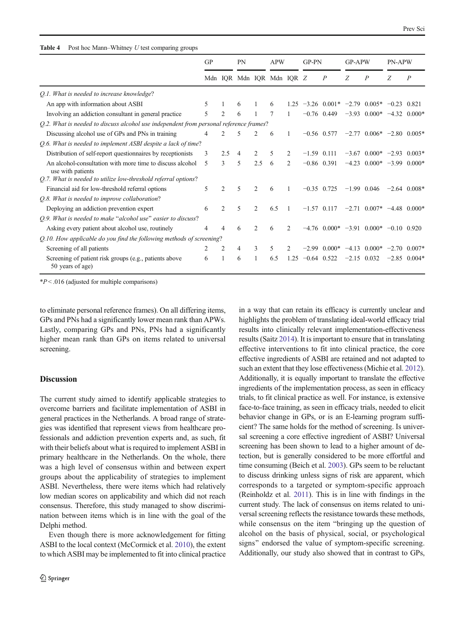#### <span id="page-7-0"></span>Table 4 Post hoc Mann–Whitney U test comparing groups

|                                                                                        | GP |                | PN                        |                | <b>APW</b> |                | GP-PN         |                                             | <b>GP-APW</b> |                               | <b>PN-APW</b> |                  |
|----------------------------------------------------------------------------------------|----|----------------|---------------------------|----------------|------------|----------------|---------------|---------------------------------------------|---------------|-------------------------------|---------------|------------------|
|                                                                                        |    |                | Mdn IQR Mdn IQR Mdn IQR Z |                |            |                |               | $\boldsymbol{P}$                            | Z             | $\overline{P}$                | Ζ             | $\boldsymbol{P}$ |
| Q.1. What is needed to increase knowledge?                                             |    |                |                           |                |            |                |               |                                             |               |                               |               |                  |
| An app with information about ASBI                                                     | 5  |                | 6                         |                | 6          | 1.25           |               | $-3.26$ 0.001* $-2.79$ 0.005* $-0.23$ 0.821 |               |                               |               |                  |
| Involving an addiction consultant in general practice                                  | 5  | $\overline{2}$ | 6                         |                |            | 1              |               | $-0.76$ 0.449                               |               | $-3.93$ 0.000*                |               | $-4.32$ 0.000*   |
| O.2. What is needed to discuss alcohol use independent from personal reference frames? |    |                |                           |                |            |                |               |                                             |               |                               |               |                  |
| Discussing alcohol use of GPs and PNs in training                                      | 4  | 2              | 5                         | $\mathfrak{D}$ | 6          |                | $-0.56$ 0.577 |                                             |               | $-2.77$ 0.006* $-2.80$ 0.005* |               |                  |
| Q.6. What is needed to implement ASBI despite a lack of time?                          |    |                |                           |                |            |                |               |                                             |               |                               |               |                  |
| Distribution of self-report questionnaires by receptionists                            | 3  | 2.5            | 4                         | $\overline{c}$ | 5          | 2              | $-1.59$ 0.111 |                                             |               | $-3.67$ 0.000* $-2.93$ 0.003* |               |                  |
| An alcohol-consultation with more time to discuss alcohol<br>use with patients         | 5  | 3              | 5                         | 2.5            | 6          | $\overline{2}$ |               | $-0.86$ 0.391                               |               | $-4.23$ 0.000* $-3.99$ 0.000* |               |                  |
| Q.7. What is needed to utilize low-threshold referral options?                         |    |                |                           |                |            |                |               |                                             |               |                               |               |                  |
| Financial aid for low-threshold referral options                                       | 5  | $\overline{2}$ | 5                         | $\overline{c}$ | 6          | $\mathbf{1}$   | $-0.35$ 0.725 |                                             |               | $-1.99$ 0.046                 |               | $-2.64$ 0.008*   |
| Q.8. What is needed to improve collaboration?                                          |    |                |                           |                |            |                |               |                                             |               |                               |               |                  |
| Deploying an addiction prevention expert                                               | 6  | $\mathfrak{D}$ | 5                         | $\mathfrak{D}$ | 6.5        | $\overline{1}$ | $-1.57$ 0.117 |                                             |               | $-2.71$ 0.007* $-4.48$ 0.000* |               |                  |
| Q.9. What is needed to make "alcohol use" easier to discuss?                           |    |                |                           |                |            |                |               |                                             |               |                               |               |                  |
| Asking every patient about alcohol use, routinely                                      | 4  | Δ              | 6                         | 2              | 6          | 2              |               | $-4.76$ 0.000* $-3.91$ 0.000* $-0.10$ 0.920 |               |                               |               |                  |
| O.10. How applicable do you find the following methods of screening?                   |    |                |                           |                |            |                |               |                                             |               |                               |               |                  |
| Screening of all patients                                                              | 2  | $\overline{c}$ | 4                         | 3              | 5          | 2              | $-2.99$       | $0.000*$ -4.13 $0.000*$ -2.70 $0.007*$      |               |                               |               |                  |
| Screening of patient risk groups (e.g., patients above<br>50 years of age)             | 6  |                | 6                         |                | 6.5        | 1.25           | $-0.64$ 0.522 |                                             | $-2.15$ 0.032 |                               |               | $-2.85$ 0.004*   |

 $*P < .016$  (adjusted for multiple comparisons)

to eliminate personal reference frames). On all differing items, GPs and PNs had a significantly lower mean rank than APWs. Lastly, comparing GPs and PNs, PNs had a significantly higher mean rank than GPs on items related to universal screening.

## Discussion

The current study aimed to identify applicable strategies to overcome barriers and facilitate implementation of ASBI in general practices in the Netherlands. A broad range of strategies was identified that represent views from healthcare professionals and addiction prevention experts and, as such, fit with their beliefs about what is required to implement ASBI in primary healthcare in the Netherlands. On the whole, there was a high level of consensus within and between expert groups about the applicability of strategies to implement ASBI. Nevertheless, there were items which had relatively low median scores on applicability and which did not reach consensus. Therefore, this study managed to show discrimination between items which is in line with the goal of the Delphi method.

Even though there is more acknowledgement for fitting ASBI to the local context (McCormick et al. [2010\)](#page-10-0), the extent to which ASBI may be implemented to fit into clinical practice in a way that can retain its efficacy is currently unclear and highlights the problem of translating ideal-world efficacy trial results into clinically relevant implementation-effectiveness results (Saitz [2014](#page-10-0)). It is important to ensure that in translating effective interventions to fit into clinical practice, the core effective ingredients of ASBI are retained and not adapted to such an extent that they lose effectiveness (Michie et al. [2012\)](#page-10-0). Additionally, it is equally important to translate the effective ingredients of the implementation process, as seen in efficacy trials, to fit clinical practice as well. For instance, is extensive face-to-face training, as seen in efficacy trials, needed to elicit behavior change in GPs, or is an E-learning program sufficient? The same holds for the method of screening. Is universal screening a core effective ingredient of ASBI? Universal screening has been shown to lead to a higher amount of detection, but is generally considered to be more effortful and time consuming (Beich et al. [2003\)](#page-9-0). GPs seem to be reluctant to discuss drinking unless signs of risk are apparent, which corresponds to a targeted or symptom-specific approach (Reinholdz et al. [2011\)](#page-10-0). This is in line with findings in the current study. The lack of consensus on items related to universal screening reflects the resistance towards these methods, while consensus on the item "bringing up the question of alcohol on the basis of physical, social, or psychological signs" endorsed the value of symptom-specific screening. Additionally, our study also showed that in contrast to GPs,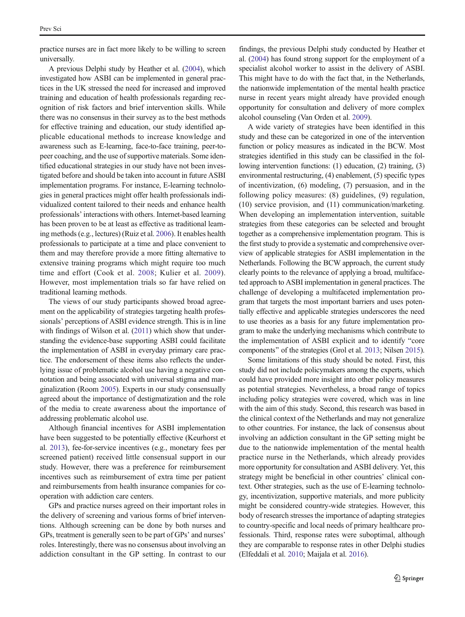practice nurses are in fact more likely to be willing to screen universally.

A previous Delphi study by Heather et al. ([2004](#page-9-0)), which investigated how ASBI can be implemented in general practices in the UK stressed the need for increased and improved training and education of health professionals regarding recognition of risk factors and brief intervention skills. While there was no consensus in their survey as to the best methods for effective training and education, our study identified applicable educational methods to increase knowledge and awareness such as E-learning, face-to-face training, peer-topeer coaching, and the use of supportive materials. Some identified educational strategies in our study have not been investigated before and should be taken into account in future ASBI implementation programs. For instance, E-learning technologies in general practices might offer health professionals individualized content tailored to their needs and enhance health professionals' interactions with others. Internet-based learning has been proven to be at least as effective as traditional learning methods (e.g., lectures) (Ruiz et al. [2006](#page-10-0)). It enables health professionals to participate at a time and place convenient to them and may therefore provide a more fitting alternative to extensive training programs which might require too much time and effort (Cook et al. [2008;](#page-9-0) Kulier et al. [2009](#page-9-0)). However, most implementation trials so far have relied on traditional learning methods.

The views of our study participants showed broad agreement on the applicability of strategies targeting health professionals' perceptions of ASBI evidence strength. This is in line with findings of Wilson et al. ([2011\)](#page-10-0) which show that understanding the evidence-base supporting ASBI could facilitate the implementation of ASBI in everyday primary care practice. The endorsement of these items also reflects the underlying issue of problematic alcohol use having a negative connotation and being associated with universal stigma and marginalization (Room [2005\)](#page-10-0). Experts in our study consensually agreed about the importance of destigmatization and the role of the media to create awareness about the importance of addressing problematic alcohol use.

Although financial incentives for ASBI implementation have been suggested to be potentially effective (Keurhorst et al. [2013](#page-9-0)), fee-for-service incentives (e.g., monetary fees per screened patient) received little consensual support in our study. However, there was a preference for reimbursement incentives such as reimbursement of extra time per patient and reimbursements from health insurance companies for cooperation with addiction care centers.

GPs and practice nurses agreed on their important roles in the delivery of screening and various forms of brief interventions. Although screening can be done by both nurses and GPs, treatment is generally seen to be part of GPs' and nurses' roles. Interestingly, there was no consensus about involving an addiction consultant in the GP setting. In contrast to our findings, the previous Delphi study conducted by Heather et al. ([2004](#page-9-0)) has found strong support for the employment of a specialist alcohol worker to assist in the delivery of ASBI. This might have to do with the fact that, in the Netherlands, the nationwide implementation of the mental health practice nurse in recent years might already have provided enough opportunity for consultation and delivery of more complex alcohol counseling (Van Orden et al. [2009\)](#page-10-0).

A wide variety of strategies have been identified in this study and these can be categorized in one of the intervention function or policy measures as indicated in the BCW. Most strategies identified in this study can be classified in the following intervention functions: (1) education, (2) training, (3) environmental restructuring, (4) enablement, (5) specific types of incentivization, (6) modeling, (7) persuasion, and in the following policy measures: (8) guidelines, (9) regulation, (10) service provision, and (11) communication/marketing. When developing an implementation intervention, suitable strategies from these categories can be selected and brought together as a comprehensive implementation program. This is the first study to provide a systematic and comprehensive overview of applicable strategies for ASBI implementation in the Netherlands. Following the BCW approach, the current study clearly points to the relevance of applying a broad, multifaceted approach to ASBI implementation in general practices. The challenge of developing a multifaceted implementation program that targets the most important barriers and uses potentially effective and applicable strategies underscores the need to use theories as a basis for any future implementation program to make the underlying mechanisms which contribute to the implementation of ASBI explicit and to identify "core components" of the strategies (Grol et al. [2013;](#page-9-0) Nilsen [2015\)](#page-10-0).

Some limitations of this study should be noted. First, this study did not include policymakers among the experts, which could have provided more insight into other policy measures as potential strategies. Nevertheless, a broad range of topics including policy strategies were covered, which was in line with the aim of this study. Second, this research was based in the clinical context of the Netherlands and may not generalize to other countries. For instance, the lack of consensus about involving an addiction consultant in the GP setting might be due to the nationwide implementation of the mental health practice nurse in the Netherlands, which already provides more opportunity for consultation and ASBI delivery. Yet, this strategy might be beneficial in other countries' clinical context. Other strategies, such as the use of E-learning technology, incentivization, supportive materials, and more publicity might be considered country-wide strategies. However, this body of research stresses the importance of adapting strategies to country-specific and local needs of primary healthcare professionals. Third, response rates were suboptimal, although they are comparable to response rates in other Delphi studies (Elfeddali et al. [2010](#page-9-0); Maijala et al. [2016\)](#page-10-0).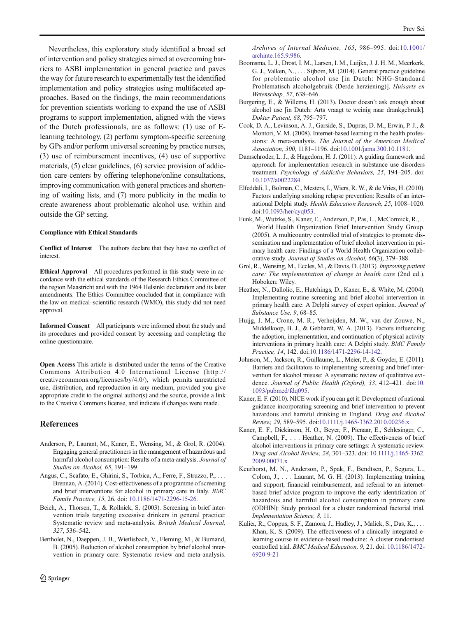<span id="page-9-0"></span>Nevertheless, this exploratory study identified a broad set of intervention and policy strategies aimed at overcoming barriers to ASBI implementation in general practice and paves the way for future research to experimentally test the identified implementation and policy strategies using multifaceted approaches. Based on the findings, the main recommendations for prevention scientists working to expand the use of ASBI programs to support implementation, aligned with the views of the Dutch professionals, are as follows: (1) use of Elearning technology, (2) perform symptom-specific screening by GPs and/or perform universal screening by practice nurses, (3) use of reimbursement incentives, (4) use of supportive materials, (5) clear guidelines, (6) service provision of addiction care centers by offering telephone/online consultations, improving communication with general practices and shortening of waiting lists, and (7) more publicity in the media to create awareness about problematic alcohol use, within and outside the GP setting.

#### Compliance with Ethical Standards

Conflict of Interest The authors declare that they have no conflict of interest.

Ethical Approval All procedures performed in this study were in accordance with the ethical standards of the Research Ethics Committee of the region Maastricht and with the 1964 Helsinki declaration and its later amendments. The Ethics Committee concluded that in compliance with the law on medical–scientific research (WMO), this study did not need approval.

Informed Consent All participants were informed about the study and its procedures and provided consent by accessing and completing the online questionnaire.

Open Access This article is distributed under the terms of the Creative Commons Attribution 4.0 International License (http:// creativecommons.org/licenses/by/4.0/), which permits unrestricted use, distribution, and reproduction in any medium, provided you give appropriate credit to the original author(s) and the source, provide a link to the Creative Commons license, and indicate if changes were made.

#### References

- Anderson, P., Laurant, M., Kaner, E., Wensing, M., & Grol, R. (2004). Engaging general practitioners in the management of hazardous and harmful alcohol consumption: Results of a meta-analysis. Journal of Studies on Alcohol, 65, 191–199.
- Angus, C., Scafato, E., Ghirini, S., Torbica, A., Ferre, F., Struzzo, P., . . . Brennan, A. (2014). Cost-effectiveness of a programme of screening and brief interventions for alcohol in primary care in Italy. BMC Family Practice, 15, 26. doi: [10.1186/1471-2296-15-26.](http://dx.doi.org/10.1186/1471-2296-15-26)
- Beich, A., Thorsen, T., & Rollnick, S. (2003). Screening in brief intervention trials targeting excessive drinkers in general practice: Systematic review and meta-analysis. British Medical Journal, 327, 536–542.
- Bertholet, N., Daeppen, J. B., Wietlisbach, V., Fleming, M., & Burnand, B. (2005). Reduction of alcohol consumption by brief alcohol intervention in primary care: Systematic review and meta-analysis.

Archives of Internal Medicine, 165, 986–995. doi[:10.1001/](http://dx.doi.org/10.1001/archinte.165.9.986) [archinte.165.9.986](http://dx.doi.org/10.1001/archinte.165.9.986).

- Boomsma, L. J., Drost, I. M., Larsen, I. M., Luijkx, J. J. H. M., Meerkerk, G. J., Valken, N., . . . Sijbom, M. (2014). General practice guideline for problematic alcohol use [in Dutch: NHG-Standaard Problematisch alcoholgebruik (Derde herziening)]. Huisarts en Wetenschap, 57, 638–646.
- Burgering, E., & Willems, H. (2013). Doctor doesn't ask enough about alcohol use [in Dutch: Arts vraagt te weinig naar drankgebruik]. Dokter Patient, 68, 795–797.
- Cook, D. A., Levinson, A. J., Garside, S., Dupras, D. M., Erwin, P. J., & Montori, V. M. (2008). Internet-based learning in the health professions: A meta-analysis. The Journal of the American Medical Association, 300, 1181–1196. doi[:10.1001/jama.300.10.1181.](http://dx.doi.org/10.1001/jama.300.10.1181)
- Damschroder, L. J., & Hagedorn, H. J. (2011). A guiding framework and approach for implementation research in substance use disorders treatment. Psychology of Addictive Behaviors, 25, 194–205. doi: [10.1037/a0022284.](http://dx.doi.org/10.1037/a0022284)
- Elfeddali, I., Bolman, C., Mesters, I., Wiers, R. W., & de Vries, H. (2010). Factors underlying smoking relapse prevention: Results of an international Delphi study. Health Education Research, 25, 1008–1020. doi:[10.1093/her/cyq053.](http://dx.doi.org/10.1093/her/cyq053)
- Funk, M., Wutzke, S., Kaner, E., Anderson, P., Pas, L., McCormick, R., . . . World Health Organization Brief Intervention Study Group. (2005). A multicountry controlled trial of strategies to promote dissemination and implementation of brief alcohol intervention in primary health care: Findings of a World Health Organization collaborative study. Journal of Studies on Alcohol, 66(3), 379–388.
- Grol, R., Wensing, M., Eccles, M., & Davis, D. (2013). Improving patient care: The implementation of change in health care (2nd ed.). Hoboken: Wiley.
- Heather, N., Dallolio, E., Hutchings, D., Kaner, E., & White, M. (2004). Implementing routine screening and brief alcohol intervention in primary health care: A Delphi survey of expert opinion. Journal of Substance Use, 9, 68–85.
- Huijg, J. M., Crone, M. R., Verheijden, M. W., van der Zouwe, N., Middelkoop, B. J., & Gebhardt, W. A. (2013). Factors influencing the adoption, implementation, and continuation of physical activity interventions in primary health care: A Delphi study. BMC Family Practice, 14, 142. doi:[10.1186/1471-2296-14-142](http://dx.doi.org/10.1186/1471-2296-14-142).
- Johnson, M., Jackson, R., Guillaume, L., Meier, P., & Goyder, E. (2011). Barriers and facilitators to implementing screening and brief intervention for alcohol misuse: A systematic review of qualitative evi-dence. Journal of Public Health (Oxford), 33, 412-421. doi:[10.](http://dx.doi.org/10.1093/pubmed/fdq095) [1093/pubmed/fdq095.](http://dx.doi.org/10.1093/pubmed/fdq095)
- Kaner, E. F. (2010). NICE work if you can get it: Development of national guidance incorporating screening and brief intervention to prevent hazardous and harmful drinking in England. Drug and Alcohol Review, 29, 589–595. doi[:10.1111/j.1465-3362.2010.00236.x](http://dx.doi.org/10.1111/j.1465-3362.2010.00236.x).
- Kaner, E. F., Dickinson, H. O., Beyer, F., Pienaar, E., Schlesinger, C., Campbell, F., . . . Heather, N. (2009). The effectiveness of brief alcohol interventions in primary care settings: A systematic review. Drug and Alcohol Review, 28, 301–323. doi: [10.1111/j.1465-3362.](http://dx.doi.org/10.1111/j.1465-3362.2009.00071.x) [2009.00071.x](http://dx.doi.org/10.1111/j.1465-3362.2009.00071.x)
- Keurhorst, M. N., Anderson, P., Spak, F., Bendtsen, P., Segura, L., Colom, J., . . . Laurant, M. G. H. (2013). Implementing training and support, financial reimbursement, and referral to an internetbased brief advice program to improve the early identification of hazardous and harmful alcohol consumption in primary care (ODHIN): Study protocol for a cluster randomized factorial trial. Implementation Science, 8, 11.
- Kulier, R., Coppus, S. F., Zamora, J., Hadley, J., Malick, S., Das, K., . . . Khan, K. S. (2009). The effectiveness of a clinically integrated elearning course in evidence-based medicine: A cluster randomised controlled trial. BMC Medical Education, 9, 21. doi: [10.1186/1472-](http://dx.doi.org/10.1186/1472-6920-9-21) [6920-9-21](http://dx.doi.org/10.1186/1472-6920-9-21)